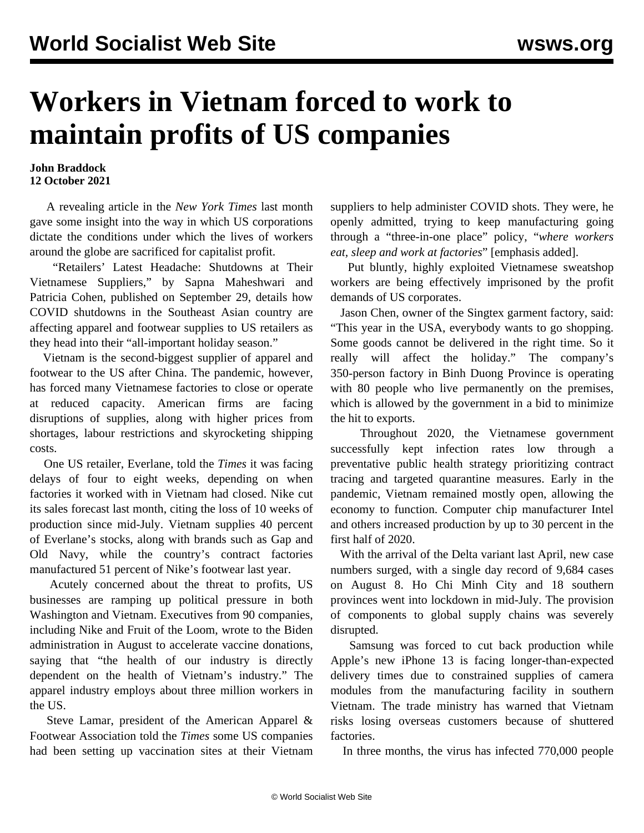## **Workers in Vietnam forced to work to maintain profits of US companies**

## **John Braddock 12 October 2021**

 A revealing article in the *New York Times* last month gave some insight into the way in which US corporations dictate the conditions under which the lives of workers around the globe are sacrificed for capitalist profit.

 "Retailers' Latest Headache: Shutdowns at Their Vietnamese Suppliers," by Sapna Maheshwari and Patricia Cohen, published on September 29, details how COVID shutdowns in the Southeast Asian country are affecting apparel and footwear supplies to US retailers as they head into their "all-important holiday season."

 Vietnam is the second-biggest supplier of apparel and footwear to the US after China. The pandemic, however, has forced many Vietnamese factories to close or operate at reduced capacity. American firms are facing disruptions of supplies, along with higher prices from shortages, labour restrictions and skyrocketing shipping costs.

 One US retailer, Everlane, told the *Times* it was facing delays of four to eight weeks, depending on when factories it worked with in Vietnam had closed. Nike cut its sales forecast last month, citing the loss of 10 weeks of production since mid-July. Vietnam supplies 40 percent of Everlane's stocks, along with brands such as Gap and Old Navy, while the country's contract factories manufactured 51 percent of Nike's footwear last year.

 Acutely concerned about the threat to profits, US businesses are ramping up political pressure in both Washington and Vietnam. Executives from 90 companies, including Nike and Fruit of the Loom, wrote to the Biden administration in August to accelerate vaccine donations, saying that "the health of our industry is directly dependent on the health of Vietnam's industry." The apparel industry employs about three million workers in the US.

 Steve Lamar, president of the American Apparel & Footwear Association told the *Times* some US companies had been setting up vaccination sites at their Vietnam suppliers to help administer COVID shots. They were, he openly admitted, trying to keep manufacturing going through a "three-in-one place" policy, "*where workers eat, sleep and work at factories*" [emphasis added].

 Put bluntly, highly exploited Vietnamese sweatshop workers are being effectively imprisoned by the profit demands of US corporates.

 Jason Chen, owner of the Singtex garment factory, said: "This year in the USA, everybody wants to go shopping. Some goods cannot be delivered in the right time. So it really will affect the holiday." The company's 350-person factory in Binh Duong Province is operating with 80 people who live permanently on the premises, which is allowed by the government in a bid to minimize the hit to exports.

 Throughout 2020, the Vietnamese government successfully kept infection rates low through a preventative public health strategy prioritizing contract tracing and targeted quarantine measures. Early in the pandemic, Vietnam remained mostly open, allowing the economy to function. Computer chip manufacturer Intel and others increased production by up to 30 percent in the first half of 2020.

 With the arrival of the Delta variant last April, new case numbers surged, with a single day record of 9,684 cases on August 8. Ho Chi Minh City and 18 southern provinces went into lockdown in mid-July. The provision of components to global supply chains was severely disrupted.

 Samsung was forced to cut back production while Apple's new iPhone 13 is facing longer-than-expected delivery times due to constrained supplies of camera modules from the manufacturing facility in southern Vietnam. The trade ministry has warned that Vietnam risks losing overseas customers because of shuttered factories.

In three months, the virus has infected 770,000 people